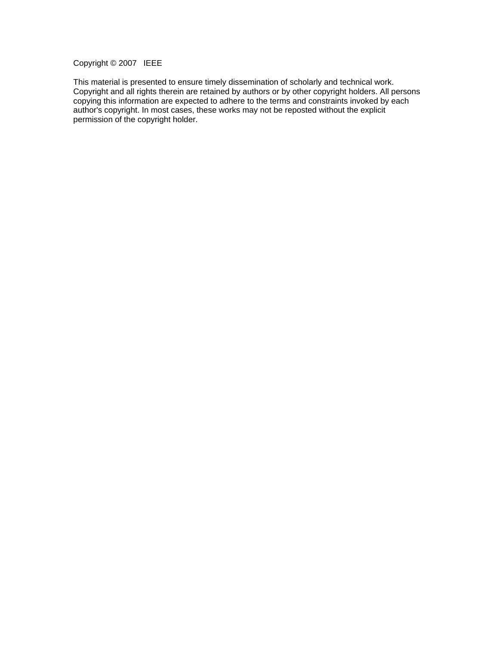Copyright © 2007 IEEE

This material is presented to ensure timely dissemination of scholarly and technical work. Copyright and all rights therein are retained by authors or by other copyright holders. All persons copying this information are expected to adhere to the terms and constraints invoked by each author's copyright. In most cases, these works may not be reposted without the explicit permission of the copyright holder.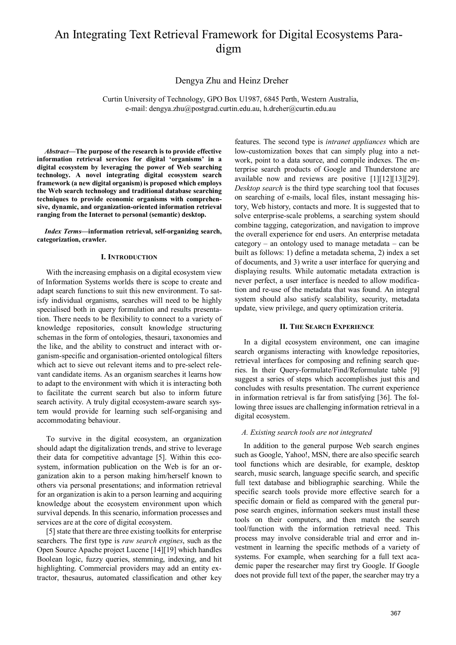# An Integrating Text Retrieval Framework for Digital Ecosystems Paradigm

Dengya Zhu and Heinz Dreher

Curtin University of Technology, GPO Box U1987, 6845 Perth, Western Australia, e-mail: dengya.zhu@postgrad.curtin.edu.au, h.dreher@curtin.edu.au

*Abstract***—The purpose of the research is to provide effective information retrieval services for digital 'organisms' in a digital ecosystem by leveraging the power of Web searching technology. A novel integrating digital ecosystem search framework (a new digital organism) is proposed which employs the Web search technology and traditional database searching techniques to provide economic organisms with comprehensive, dynamic, and organization-oriented information retrieval ranging from the Internet to personal (semantic) desktop.** 

*Index Terms***—information retrieval, self-organizing search, categorization, crawler.** 

# **I. INTRODUCTION**

With the increasing emphasis on a digital ecosystem view of Information Systems worlds there is scope to create and adapt search functions to suit this new environment. To satisfy individual organisms, searches will need to be highly specialised both in query formulation and results presentation. There needs to be flexibility to connect to a variety of knowledge repositories, consult knowledge structuring schemas in the form of ontologies, thesauri, taxonomies and the like, and the ability to construct and interact with organism-specific and organisation-oriented ontological filters which act to sieve out relevant items and to pre-select relevant candidate items. As an organism searches it learns how to adapt to the environment with which it is interacting both to facilitate the current search but also to inform future search activity. A truly digital ecosystem-aware search system would provide for learning such self-organising and accommodating behaviour.

To survive in the digital ecosystem, an organization should adapt the digitalization trends, and strive to leverage their data for competitive advantage [5]. Within this ecosystem, information publication on the Web is for an organization akin to a person making him/herself known to others via personal presentations; and information retrieval for an organization is akin to a person learning and acquiring knowledge about the ecosystem environment upon which survival depends. In this scenario, information processes and services are at the core of digital ecosystem.

[5] state that there are three existing toolkits for enterprise searchers. The first type is *raw search engines*, such as the Open Source Apache project Lucene [14][19] which handles Boolean logic, fuzzy queries, stemming, indexing, and hit highlighting. Commercial providers may add an entity extractor, thesaurus, automated classification and other key features. The second type is *intranet appliances* which are low-customization boxes that can simply plug into a network, point to a data source, and compile indexes. The enterprise search products of Google and Thunderstone are available now and reviews are positive [1][12][13][29]. *Desktop search* is the third type searching tool that focuses on searching of e-mails, local files, instant messaging history, Web history, contacts and more. It is suggested that to solve enterprise-scale problems, a searching system should combine tagging, categorization, and navigation to improve the overall experience for end users. An enterprise metadata category – an ontology used to manage metadata – can be built as follows: 1) define a metadata schema, 2) index a set of documents, and 3) write a user interface for querying and displaying results. While automatic metadata extraction is never perfect, a user interface is needed to allow modification and re-use of the metadata that was found. An integral system should also satisfy scalability, security, metadata update, view privilege, and query optimization criteria.

# **II. THE SEARCH EXPERIENCE**

In a digital ecosystem environment, one can imagine search organisms interacting with knowledge repositories, retrieval interfaces for composing and refining search queries. In their Query-formulate/Find/Reformulate table [9] suggest a series of steps which accomplishes just this and concludes with results presentation. The current experience in information retrieval is far from satisfying [36]. The following three issues are challenging information retrieval in a digital ecosystem.

# *A. Existing search tools are not integrated*

In addition to the general purpose Web search engines such as Google, Yahoo!, MSN, there are also specific search tool functions which are desirable, for example, desktop search, music search, language specific search, and specific full text database and bibliographic searching. While the specific search tools provide more effective search for a specific domain or field as compared with the general purpose search engines, information seekers must install these tools on their computers, and then match the search tool/function with the information retrieval need. This process may involve considerable trial and error and investment in learning the specific methods of a variety of systems. For example, when searching for a full text academic paper the researcher may first try Google. If Google does not provide full text of the paper, the searcher may try a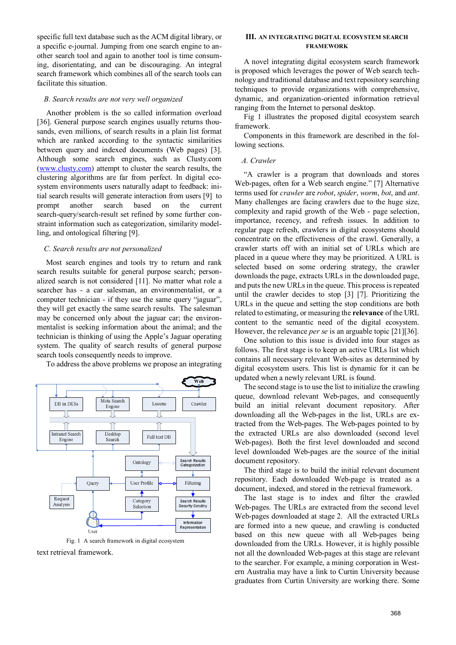specific full text database such as the ACM digital library, or a specific e-journal. Jumping from one search engine to another search tool and again to another tool is time consuming, disorientating, and can be discouraging. An integral search framework which combines all of the search tools can facilitate this situation.

# *B. Search results are not very well organized*

Another problem is the so called information overload [36]. General purpose search engines usually returns thousands, even millions, of search results in a plain list format which are ranked according to the syntactic similarities between query and indexed documents (Web pages) [3]. Although some search engines, such as Clusty.com (www.clusty.com) attempt to cluster the search results, the clustering algorithms are far from perfect. In digital ecosystem environments users naturally adapt to feedback: initial search results will generate interaction from users [9] to prompt another search based on the current search-query/search-result set refined by some further constraint information such as categorization, similarity modelling, and ontological filtering [9].

# *C. Search results are not personalized*

Most search engines and tools try to return and rank search results suitable for general purpose search; personalized search is not considered [11]. No matter what role a searcher has - a car salesman, an environmentalist, or a computer technician - if they use the same query "jaguar", they will get exactly the same search results. The salesman may be concerned only about the jaguar car; the environmentalist is seeking information about the animal; and the technician is thinking of using the Apple's Jaguar operating system. The quality of search results of general purpose search tools consequently needs to improve.

To address the above problems we propose an integrating



Fig. 1 A search framework in digital ecosystem

text retrieval framework.

# **III. AN INTEGRATING DIGITAL ECOSYSTEM SEARCH FRAMEWORK**

A novel integrating digital ecosystem search framework is proposed which leverages the power of Web search technology and traditional database and text repository searching techniques to provide organizations with comprehensive, dynamic, and organization-oriented information retrieval ranging from the Internet to personal desktop.

Fig 1 illustrates the proposed digital ecosystem search framework.

Components in this framework are described in the following sections.

### *A. Crawler*

"A crawler is a program that downloads and stores Web-pages, often for a Web search engine." [7] Alternative terms used for *crawler* are *robot*, *spider*, *worm*, *bot*, and *ant*. Many challenges are facing crawlers due to the huge size, complexity and rapid growth of the Web - page selection, importance, recency, and refresh issues. In addition to regular page refresh, crawlers in digital ecosystems should concentrate on the effectiveness of the crawl. Generally, a crawler starts off with an initial set of URLs which are placed in a queue where they may be prioritized. A URL is selected based on some ordering strategy, the crawler downloads the page, extracts URLs in the downloaded page, and puts the new URLs in the queue. This process is repeated until the crawler decides to stop [3] [7]. Prioritizing the URLs in the queue and setting the stop conditions are both related to estimating, or measuring the **relevance** of the URL content to the semantic need of the digital ecosystem. However, the relevance *per se* is an arguable topic [21][36].

One solution to this issue is divided into four stages as follows. The first stage is to keep an active URLs list which contains all necessary relevant Web-sites as determined by digital ecosystem users. This list is dynamic for it can be updated when a newly relevant URL is found.

The second stage is to use the list to initialize the crawling queue, download relevant Web-pages, and consequently build an initial relevant document repository. After downloading all the Web-pages in the list, URLs are extracted from the Web-pages. The Web-pages pointed to by the extracted URLs are also downloaded (second level Web-pages). Both the first level downloaded and second level downloaded Web-pages are the source of the initial document repository.

The third stage is to build the initial relevant document repository. Each downloaded Web-page is treated as a document, indexed, and stored in the retrieval framework.

The last stage is to index and filter the crawled Web-pages. The URLs are extracted from the second level Web-pages downloaded at stage 2. All the extracted URLs are formed into a new queue, and crawling is conducted based on this new queue with all Web-pages being downloaded from the URLs. However, it is highly possible not all the downloaded Web-pages at this stage are relevant to the searcher. For example, a mining corporation in Western Australia may have a link to Curtin University because graduates from Curtin University are working there. Some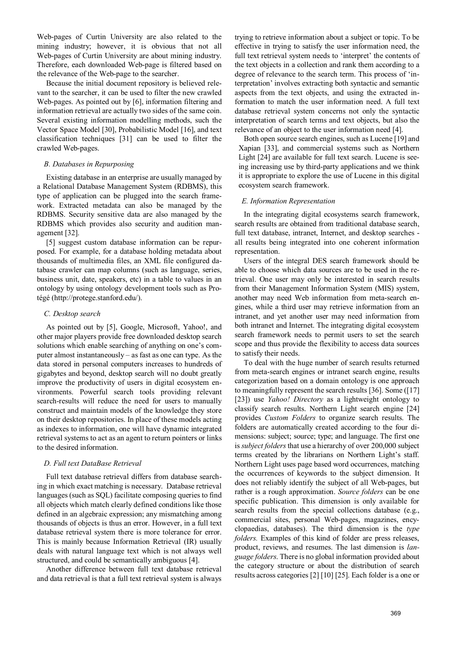Web-pages of Curtin University are also related to the mining industry; however, it is obvious that not all Web-pages of Curtin University are about mining industry. Therefore, each downloaded Web-page is filtered based on the relevance of the Web-page to the searcher.

Because the initial document repository is believed relevant to the searcher, it can be used to filter the new crawled Web-pages. As pointed out by [6], information filtering and information retrieval are actually two sides of the same coin. Several existing information modelling methods, such the Vector Space Model [30], Probabilistic Model [16], and text classification techniques [31] can be used to filter the crawled Web-pages.

# *B. Databases in Repurposing*

Existing database in an enterprise are usually managed by a Relational Database Management System (RDBMS), this type of application can be plugged into the search framework. Extracted metadata can also be managed by the RDBMS. Security sensitive data are also managed by the RDBMS which provides also security and audition management [32].

[5] suggest custom database information can be repurposed. For example, for a database holding metadata about thousands of multimedia files, an XML file configured database crawler can map columns (such as language, series, business unit, date, speakers, etc) in a table to values in an ontology by using ontology development tools such as Protégé (http://protege.stanford.edu/).

# *C. Desktop search*

As pointed out by [5], Google, Microsoft, Yahoo!, and other major players provide free downloaded desktop search solutions which enable searching of anything on one's computer almost instantaneously – as fast as one can type. As the data stored in personal computers increases to hundreds of gigabytes and beyond, desktop search will no doubt greatly improve the productivity of users in digital ecosystem environments. Powerful search tools providing relevant search-results will reduce the need for users to manually construct and maintain models of the knowledge they store on their desktop repositories. In place of these models acting as indexes to information, one will have dynamic integrated retrieval systems to act as an agent to return pointers or links to the desired information.

### *D. Full text DataBase Retrieval*

Full text database retrieval differs from database searching in which exact matching is necessary. Database retrieval languages (such as SQL) facilitate composing queries to find all objects which match clearly defined conditions like those defined in an algebraic expression; any mismatching among thousands of objects is thus an error. However, in a full text database retrieval system there is more tolerance for error. This is mainly because Information Retrieval (IR) usually deals with natural language text which is not always well structured, and could be semantically ambiguous [4].

Another difference between full text database retrieval and data retrieval is that a full text retrieval system is always trying to retrieve information about a subject or topic. To be effective in trying to satisfy the user information need, the full text retrieval system needs to 'interpret' the contents of the text objects in a collection and rank them according to a degree of relevance to the search term. This process of 'interpretation' involves extracting both syntactic and semantic aspects from the text objects, and using the extracted information to match the user information need. A full text database retrieval system concerns not only the syntactic interpretation of search terms and text objects, but also the relevance of an object to the user information need [4].

Both open source search engines, such as Lucene [19] and Xapian [33], and commercial systems such as Northern Light [24] are available for full text search. Lucene is seeing increasing use by third-party applications and we think it is appropriate to explore the use of Lucene in this digital ecosystem search framework.

# *E. Information Representation*

In the integrating digital ecosystems search framework, search results are obtained from traditional database search, full text database, intranet, Internet, and desktop searches all results being integrated into one coherent information representation.

Users of the integral DES search framework should be able to choose which data sources are to be used in the retrieval. One user may only be interested in search results from their Management Information System (MIS) system, another may need Web information from meta-search engines, while a third user may retrieve information from an intranet, and yet another user may need information from both intranet and Internet. The integrating digital ecosystem search framework needs to permit users to set the search scope and thus provide the flexibility to access data sources to satisfy their needs.

To deal with the huge number of search results returned from meta-search engines or intranet search engine, results categorization based on a domain ontology is one approach to meaningfully represent the search results [36]. Some ([17] [23]) use *Yahoo! Directory* as a lightweight ontology to classify search results. Northern Light search engine [24] provides *Custom Folders* to organize search results. The folders are automatically created according to the four dimensions: subject; source; type; and language. The first one is *subject folders* that use a hierarchy of over 200,000 subject terms created by the librarians on Northern Light's staff. Northern Light uses page based word occurrences, matching the occurrences of keywords to the subject dimension. It does not reliably identify the subject of all Web-pages, but rather is a rough approximation. *Source folders* can be one specific publication. This dimension is only available for search results from the special collections database (e.g., commercial sites, personal Web-pages, magazines, encyclopaedias, databases). The third dimension is the *type folders.* Examples of this kind of folder are press releases, product, reviews, and resumes. The last dimension is *language folders*. There is no global information provided about the category structure or about the distribution of search results across categories [2] [10] [25]. Each folder is a one or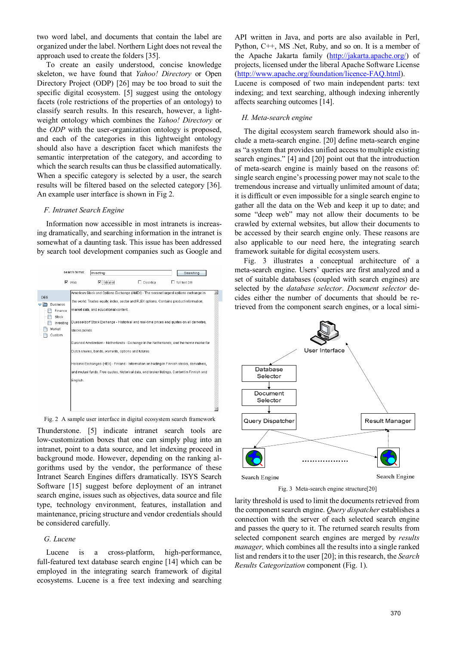two word label, and documents that contain the label are organized under the label. Northern Light does not reveal the approach used to create the folders [35].

To create an easily understood, concise knowledge skeleton, we have found that *Yahoo! Directory* or Open Directory Project (ODP) [26] may be too broad to suit the specific digital ecosystem. [5] suggest using the ontology facets (role restrictions of the properties of an ontology) to classify search results. In this research, however, a lightweight ontology which combines the *Yahoo! Directory* or the *ODP* with the user-organization ontology is proposed, and each of the categories in this lightweight ontology should also have a description facet which manifests the semantic interpretation of the category, and according to which the search results can thus be classified automatically. When a specific category is selected by a user, the search results will be filtered based on the selected category [36]. An example user interface is shown in Fig 2.

### *F. Intranet Search Engine*

Information now accessible in most intranets is increasing dramatically, and searching information in the intranet is somewhat of a daunting task. This issue has been addressed by search tool development companies such as Google and



Fig. 2 A sample user interface in digital ecosystem search framework

Thunderstone. [5] indicate intranet search tools are low-customization boxes that one can simply plug into an intranet, point to a data source, and let indexing proceed in background mode. However, depending on the ranking algorithms used by the vendor, the performance of these Intranet Search Engines differs dramatically. ISYS Search Software [15] suggest before deployment of an intranet search engine, issues such as objectives, data source and file type, technology environment, features, installation and maintenance, pricing structure and vendor credentials should be considered carefully.

# *G. Lucene*

Lucene is a cross-platform, high-performance, full-featured text database search engine [14] which can be employed in the integrating search framework of digital ecosystems. Lucene is a free text indexing and searching API written in Java, and ports are also available in Perl, Python, C++, MS .Net, Ruby, and so on. It is a member of the Apache Jakarta family (http://jakarta.apache.org/) of projects, licensed under the liberal Apache Software License (http://www.apache.org/foundation/licence-FAQ.html).

Lucene is composed of two main independent parts: text indexing; and text searching, although indexing inherently affects searching outcomes [14].

# *H. Meta-search engine*

The digital ecosystem search framework should also include a meta-search engine. [20] define meta-search engine as "a system that provides unified access to multiple existing search engines." [4] and [20] point out that the introduction of meta-search engine is mainly based on the reasons of: single search engine's processing power may not scale to the tremendous increase and virtually unlimited amount of data; it is difficult or even impossible for a single search engine to gather all the data on the Web and keep it up to date; and some "deep web" may not allow their documents to be crawled by external websites, but allow their documents to be accessed by their search engine only. These reasons are also applicable to our need here, the integrating search framework suitable for digital ecosystem users.

Fig. 3 illustrates a conceptual architecture of a meta-search engine. Users' queries are first analyzed and a set of suitable databases (coupled with search engines) are selected by the *database selector*. *Document selector* decides either the number of documents that should be retrieved from the component search engines, or a local simi-



Fig. 3 Meta-search engine structure[20]

larity threshold is used to limit the documents retrieved from the component search engine. *Query dispatcher* establishes a connection with the server of each selected search engine and passes the query to it. The returned search results from selected component search engines are merged by *results manager,* which combines all the results into a single ranked list and renders it to the user [20]; in this research, the *Search Results Categorization* component (Fig. 1).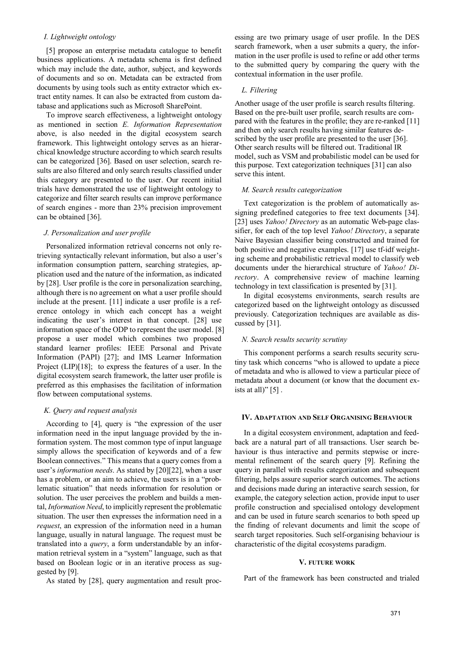# *I. Lightweight ontology*

[5] propose an enterprise metadata catalogue to benefit business applications. A metadata schema is first defined which may include the date, author, subject, and keywords of documents and so on. Metadata can be extracted from documents by using tools such as entity extractor which extract entity names. It can also be extracted from custom database and applications such as Microsoft SharePoint.

To improve search effectiveness, a lightweight ontology as mentioned in section *E. Information Representation* above, is also needed in the digital ecosystem search framework. This lightweight ontology serves as an hierarchical knowledge structure according to which search results can be categorized [36]. Based on user selection, search results are also filtered and only search results classified under this category are presented to the user. Our recent initial trials have demonstrated the use of lightweight ontology to categorize and filter search results can improve performance of search engines - more than 23% precision improvement can be obtained [36].

# *J. Personalization and user profile*

Personalized information retrieval concerns not only retrieving syntactically relevant information, but also a user's information consumption pattern, searching strategies, application used and the nature of the information, as indicated by [28]. User profile is the core in personalization searching, although there is no agreement on what a user profile should include at the present. [11] indicate a user profile is a reference ontology in which each concept has a weight indicating the user's interest in that concept. [28] use information space of the ODP to represent the user model. [8] propose a user model which combines two proposed standard learner profiles: IEEE Personal and Private Information (PAPI) [27]; and IMS Learner Information Project (LIP)[18]; to express the features of a user. In the digital ecosystem search framework, the latter user profile is preferred as this emphasises the facilitation of information flow between computational systems.

# *K. Query and request analysis*

According to [4], query is "the expression of the user information need in the input language provided by the information system. The most common type of input language simply allows the specification of keywords and of a few Boolean connectives." This means that a query comes from a user's *information needs*. As stated by [20][22], when a user has a problem, or an aim to achieve, the users is in a "problematic situation" that needs information for resolution or solution. The user perceives the problem and builds a mental, *Information Need*, to implicitly represent the problematic situation. The user then expresses the information need in a *request*, an expression of the information need in a human language, usually in natural language. The request must be translated into a *query*, a form understandable by an information retrieval system in a "system" language, such as that based on Boolean logic or in an iterative process as suggested by [9].

As stated by [28], query augmentation and result proc-

essing are two primary usage of user profile. In the DES search framework, when a user submits a query, the information in the user profile is used to refine or add other terms to the submitted query by comparing the query with the contextual information in the user profile.

# *L. Filtering*

Another usage of the user profile is search results filtering. Based on the pre-built user profile, search results are compared with the features in the profile; they are re-ranked [11] and then only search results having similar features described by the user profile are presented to the user [36]. Other search results will be filtered out. Traditional IR model, such as VSM and probabilistic model can be used for this purpose. Text categorization techniques [31] can also serve this intent.

#### *M. Search results categorization*

Text categorization is the problem of automatically assigning predefined categories to free text documents [34]. [23] uses *Yahoo! Directory* as an automatic Web-page classifier, for each of the top level *Yahoo! Directory*, a separate Naive Bayesian classifier being constructed and trained for both positive and negative examples. [17] use tf-idf weighting scheme and probabilistic retrieval model to classify web documents under the hierarchical structure of *Yahoo! Directory*. A comprehensive review of machine learning technology in text classification is presented by [31].

In digital ecosystems environments, search results are categorized based on the lightweight ontology as discussed previously. Categorization techniques are available as discussed by [31].

# *N. Search results security scrutiny*

This component performs a search results security scrutiny task which concerns "who is allowed to update a piece of metadata and who is allowed to view a particular piece of metadata about a document (or know that the document exists at all)"  $[5]$ .

# **IV. ADAPTATION AND SELF ORGANISING BEHAVIOUR**

In a digital ecosystem environment, adaptation and feedback are a natural part of all transactions. User search behaviour is thus interactive and permits stepwise or incremental refinement of the search query [9]. Refining the query in parallel with results categorization and subsequent filtering, helps assure superior search outcomes. The actions and decisions made during an interactive search session, for example, the category selection action, provide input to user profile construction and specialised ontology development and can be used in future search scenarios to both speed up the finding of relevant documents and limit the scope of search target repositories. Such self-organising behaviour is characteristic of the digital ecosystems paradigm.

#### **V. FUTURE WORK**

Part of the framework has been constructed and trialed